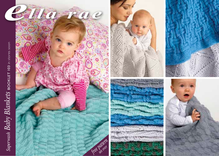